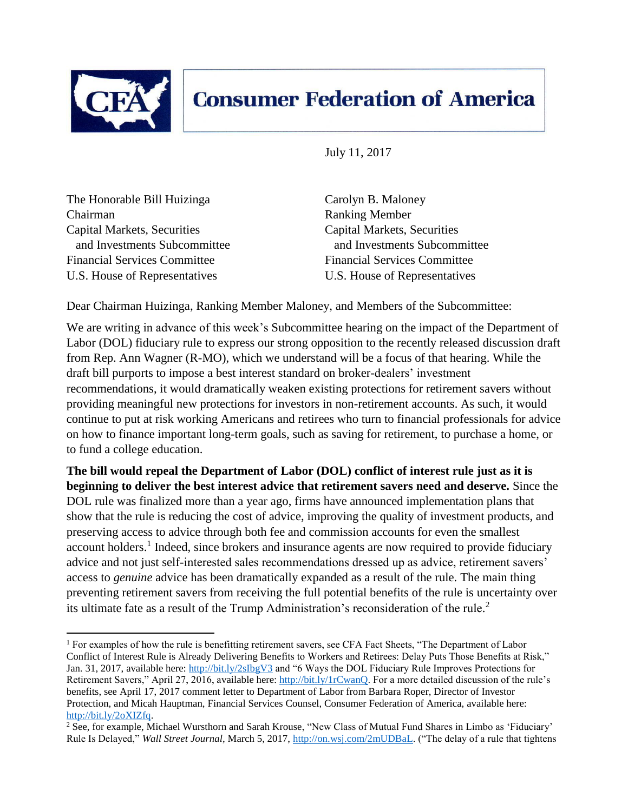

 $\overline{a}$ 

## **Consumer Federation of America**

July 11, 2017

The Honorable Bill Huizinga Carolyn B. Maloney Chairman Ranking Member Capital Markets, Securities Capital Markets, Securities Financial Services Committee Financial Services Committee U.S. House of Representatives U.S. House of Representatives

and Investments Subcommittee and Investments Subcommittee

Dear Chairman Huizinga, Ranking Member Maloney, and Members of the Subcommittee:

We are writing in advance of this week's Subcommittee hearing on the impact of the Department of Labor (DOL) fiduciary rule to express our strong opposition to the recently released discussion draft from Rep. Ann Wagner (R-MO), which we understand will be a focus of that hearing. While the draft bill purports to impose a best interest standard on broker-dealers' investment recommendations, it would dramatically weaken existing protections for retirement savers without providing meaningful new protections for investors in non-retirement accounts. As such, it would continue to put at risk working Americans and retirees who turn to financial professionals for advice on how to finance important long-term goals, such as saving for retirement, to purchase a home, or to fund a college education.

**The bill would repeal the Department of Labor (DOL) conflict of interest rule just as it is beginning to deliver the best interest advice that retirement savers need and deserve.** Since the DOL rule was finalized more than a year ago, firms have announced implementation plans that show that the rule is reducing the cost of advice, improving the quality of investment products, and preserving access to advice through both fee and commission accounts for even the smallest account holders.<sup>1</sup> Indeed, since brokers and insurance agents are now required to provide fiduciary advice and not just self-interested sales recommendations dressed up as advice, retirement savers' access to *genuine* advice has been dramatically expanded as a result of the rule. The main thing preventing retirement savers from receiving the full potential benefits of the rule is uncertainty over its ultimate fate as a result of the Trump Administration's reconsideration of the rule. 2

<sup>&</sup>lt;sup>1</sup> For examples of how the rule is benefitting retirement savers, see CFA Fact Sheets, "The Department of Labor Conflict of Interest Rule is Already Delivering Benefits to Workers and Retirees: Delay Puts Those Benefits at Risk," Jan. 31, 2017, available here:<http://bit.ly/2sIbgV3> and "6 Ways the DOL Fiduciary Rule Improves Protections for Retirement Savers," April 27, 2016, available here[: http://bit.ly/1rCwanQ.](http://bit.ly/1rCwanQ) For a more detailed discussion of the rule's benefits, see April 17, 2017 comment letter to Department of Labor from Barbara Roper, Director of Investor Protection, and Micah Hauptman, Financial Services Counsel, Consumer Federation of America, available here: [http://bit.ly/2oXIZfq.](http://bit.ly/2oXIZfq) 

<sup>&</sup>lt;sup>2</sup> See, for example, Michael Wursthorn and Sarah Krouse, "New Class of Mutual Fund Shares in Limbo as 'Fiduciary' Rule Is Delayed," *Wall Street Journal*, March 5, 2017[, http://on.wsj.com/2mUDBaL.](http://on.wsj.com/2mUDBaL) ("The delay of a rule that tightens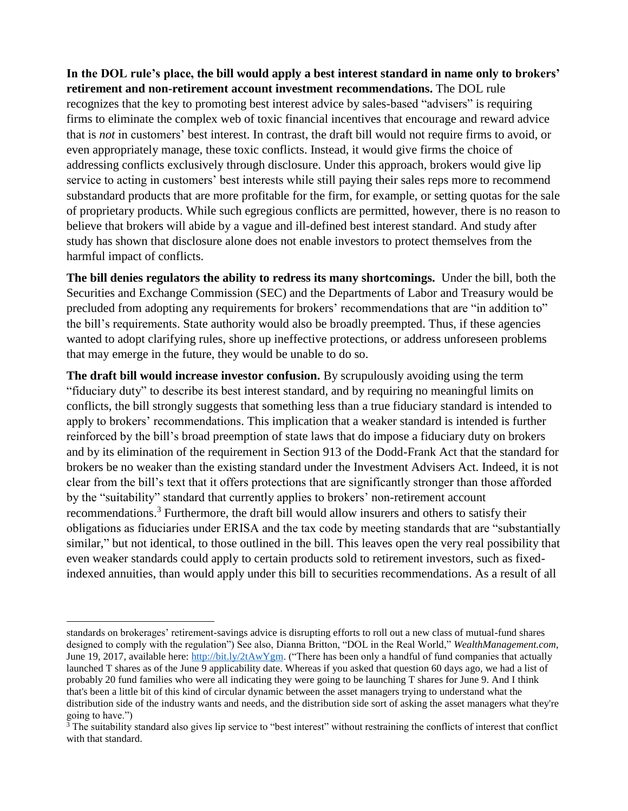**In the DOL rule's place, the bill would apply a best interest standard in name only to brokers' retirement and non-retirement account investment recommendations.** The DOL rule recognizes that the key to promoting best interest advice by sales-based "advisers" is requiring firms to eliminate the complex web of toxic financial incentives that encourage and reward advice that is *not* in customers' best interest. In contrast, the draft bill would not require firms to avoid, or even appropriately manage, these toxic conflicts. Instead, it would give firms the choice of addressing conflicts exclusively through disclosure. Under this approach, brokers would give lip service to acting in customers' best interests while still paying their sales reps more to recommend substandard products that are more profitable for the firm, for example, or setting quotas for the sale of proprietary products. While such egregious conflicts are permitted, however, there is no reason to believe that brokers will abide by a vague and ill-defined best interest standard. And study after study has shown that disclosure alone does not enable investors to protect themselves from the harmful impact of conflicts.

**The bill denies regulators the ability to redress its many shortcomings.** Under the bill, both the Securities and Exchange Commission (SEC) and the Departments of Labor and Treasury would be precluded from adopting any requirements for brokers' recommendations that are "in addition to" the bill's requirements. State authority would also be broadly preempted. Thus, if these agencies wanted to adopt clarifying rules, shore up ineffective protections, or address unforeseen problems that may emerge in the future, they would be unable to do so.

**The draft bill would increase investor confusion.** By scrupulously avoiding using the term "fiduciary duty" to describe its best interest standard, and by requiring no meaningful limits on conflicts, the bill strongly suggests that something less than a true fiduciary standard is intended to apply to brokers' recommendations. This implication that a weaker standard is intended is further reinforced by the bill's broad preemption of state laws that do impose a fiduciary duty on brokers and by its elimination of the requirement in Section 913 of the Dodd-Frank Act that the standard for brokers be no weaker than the existing standard under the Investment Advisers Act. Indeed, it is not clear from the bill's text that it offers protections that are significantly stronger than those afforded by the "suitability" standard that currently applies to brokers' non-retirement account recommendations.<sup>3</sup> Furthermore, the draft bill would allow insurers and others to satisfy their obligations as fiduciaries under ERISA and the tax code by meeting standards that are "substantially similar," but not identical, to those outlined in the bill. This leaves open the very real possibility that even weaker standards could apply to certain products sold to retirement investors, such as fixedindexed annuities, than would apply under this bill to securities recommendations. As a result of all

 $\overline{a}$ standards on brokerages' retirement-savings advice is disrupting efforts to roll out a new class of mutual-fund shares designed to comply with the regulation") See also, Dianna Britton, "DOL in the Real World," *WealthManagement.com*, June 19, 2017, available here[: http://bit.ly/2tAwYgm.](http://bit.ly/2tAwYgm) ("There has been only a handful of fund companies that actually launched T shares as of the June 9 applicability date. Whereas if you asked that question 60 days ago, we had a list of probably 20 fund families who were all indicating they were going to be launching T shares for June 9. And I think that's been a little bit of this kind of circular dynamic between the asset managers trying to understand what the distribution side of the industry wants and needs, and the distribution side sort of asking the asset managers what they're going to have.")

 $3$  The suitability standard also gives lip service to "best interest" without restraining the conflicts of interest that conflict with that standard.